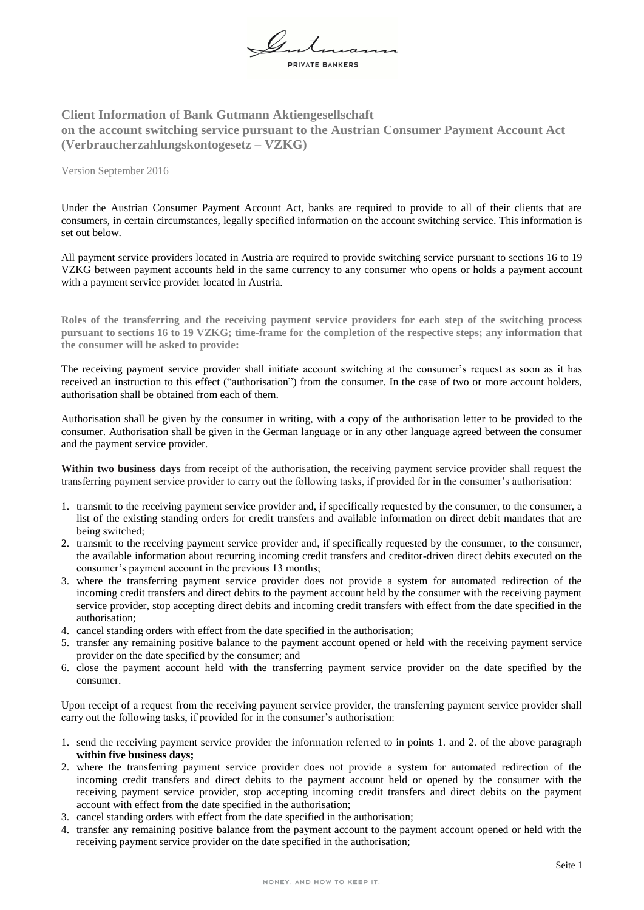

## **Client Information of Bank Gutmann Aktiengesellschaft on the account switching service pursuant to the Austrian Consumer Payment Account Act (Verbraucherzahlungskontogesetz – VZKG)**

Version September 2016

Under the Austrian Consumer Payment Account Act, banks are required to provide to all of their clients that are consumers, in certain circumstances, legally specified information on the account switching service. This information is set out below.

All payment service providers located in Austria are required to provide switching service pursuant to sections 16 to 19 VZKG between payment accounts held in the same currency to any consumer who opens or holds a payment account with a payment service provider located in Austria.

**Roles of the transferring and the receiving payment service providers for each step of the switching process pursuant to sections 16 to 19 VZKG; time-frame for the completion of the respective steps; any information that the consumer will be asked to provide:**

The receiving payment service provider shall initiate account switching at the consumer's request as soon as it has received an instruction to this effect ("authorisation") from the consumer. In the case of two or more account holders, authorisation shall be obtained from each of them.

Authorisation shall be given by the consumer in writing, with a copy of the authorisation letter to be provided to the consumer. Authorisation shall be given in the German language or in any other language agreed between the consumer and the payment service provider.

**Within two business days** from receipt of the authorisation, the receiving payment service provider shall request the transferring payment service provider to carry out the following tasks, if provided for in the consumer's authorisation:

- 1. transmit to the receiving payment service provider and, if specifically requested by the consumer, to the consumer, a list of the existing standing orders for credit transfers and available information on direct debit mandates that are being switched;
- 2. transmit to the receiving payment service provider and, if specifically requested by the consumer, to the consumer, the available information about recurring incoming credit transfers and creditor-driven direct debits executed on the consumer's payment account in the previous 13 months;
- 3. where the transferring payment service provider does not provide a system for automated redirection of the incoming credit transfers and direct debits to the payment account held by the consumer with the receiving payment service provider, stop accepting direct debits and incoming credit transfers with effect from the date specified in the authorisation;
- 4. cancel standing orders with effect from the date specified in the authorisation;
- 5. transfer any remaining positive balance to the payment account opened or held with the receiving payment service provider on the date specified by the consumer; and
- 6. close the payment account held with the transferring payment service provider on the date specified by the consumer.

Upon receipt of a request from the receiving payment service provider, the transferring payment service provider shall carry out the following tasks, if provided for in the consumer's authorisation:

- 1. send the receiving payment service provider the information referred to in points 1. and 2. of the above paragraph **within five business days;**
- 2. where the transferring payment service provider does not provide a system for automated redirection of the incoming credit transfers and direct debits to the payment account held or opened by the consumer with the receiving payment service provider, stop accepting incoming credit transfers and direct debits on the payment account with effect from the date specified in the authorisation;
- 3. cancel standing orders with effect from the date specified in the authorisation;
- 4. transfer any remaining positive balance from the payment account to the payment account opened or held with the receiving payment service provider on the date specified in the authorisation;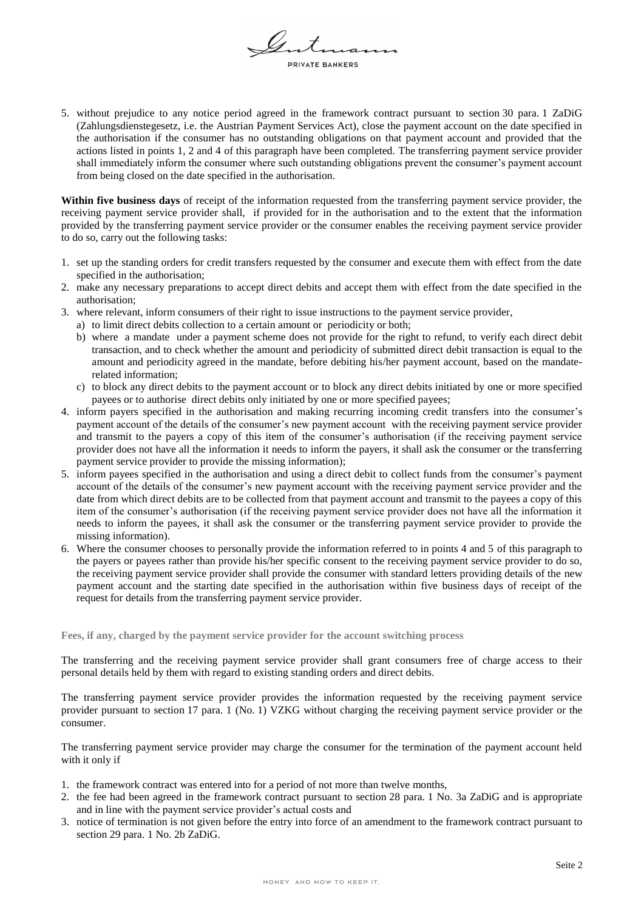$\mathscr{U}$   $\bar{x}$ RIVATE BANKERS

5. without prejudice to any notice period agreed in the framework contract pursuant to section 30 para. 1 ZaDiG (Zahlungsdienstegesetz, i.e. the Austrian Payment Services Act), close the payment account on the date specified in the authorisation if the consumer has no outstanding obligations on that payment account and provided that the actions listed in points 1, 2 and 4 of this paragraph have been completed. The transferring payment service provider shall immediately inform the consumer where such outstanding obligations prevent the consumer's payment account from being closed on the date specified in the authorisation.

**Within five business days** of receipt of the information requested from the transferring payment service provider, the receiving payment service provider shall, if provided for in the authorisation and to the extent that the information provided by the transferring payment service provider or the consumer enables the receiving payment service provider to do so, carry out the following tasks:

- 1. set up the standing orders for credit transfers requested by the consumer and execute them with effect from the date specified in the authorisation;
- 2. make any necessary preparations to accept direct debits and accept them with effect from the date specified in the authorisation;
- 3. where relevant, inform consumers of their right to issue instructions to the payment service provider,
	- a) to limit direct debits collection to a certain amount or periodicity or both;
	- b) where a mandate under a payment scheme does not provide for the right to refund, to verify each direct debit transaction, and to check whether the amount and periodicity of submitted direct debit transaction is equal to the amount and periodicity agreed in the mandate, before debiting his/her payment account, based on the mandaterelated information;
	- c) to block any direct debits to the payment account or to block any direct debits initiated by one or more specified payees or to authorise direct debits only initiated by one or more specified payees;
- 4. inform payers specified in the authorisation and making recurring incoming credit transfers into the consumer's payment account of the details of the consumer's new payment account with the receiving payment service provider and transmit to the payers a copy of this item of the consumer's authorisation (if the receiving payment service provider does not have all the information it needs to inform the payers, it shall ask the consumer or the transferring payment service provider to provide the missing information);
- 5. inform payees specified in the authorisation and using a direct debit to collect funds from the consumer's payment account of the details of the consumer's new payment account with the receiving payment service provider and the date from which direct debits are to be collected from that payment account and transmit to the payees a copy of this item of the consumer's authorisation (if the receiving payment service provider does not have all the information it needs to inform the payees, it shall ask the consumer or the transferring payment service provider to provide the missing information).
- 6. Where the consumer chooses to personally provide the information referred to in points 4 and 5 of this paragraph to the payers or payees rather than provide his/her specific consent to the receiving payment service provider to do so, the receiving payment service provider shall provide the consumer with standard letters providing details of the new payment account and the starting date specified in the authorisation within five business days of receipt of the request for details from the transferring payment service provider.

**Fees, if any, charged by the payment service provider for the account switching process**

The transferring and the receiving payment service provider shall grant consumers free of charge access to their personal details held by them with regard to existing standing orders and direct debits.

The transferring payment service provider provides the information requested by the receiving payment service provider pursuant to section 17 para. 1 (No. 1) VZKG without charging the receiving payment service provider or the consumer.

The transferring payment service provider may charge the consumer for the termination of the payment account held with it only if

- 1. the framework contract was entered into for a period of not more than twelve months,
- 2. the fee had been agreed in the framework contract pursuant to section 28 para. 1 No. 3a ZaDiG and is appropriate and in line with the payment service provider's actual costs and
- 3. notice of termination is not given before the entry into force of an amendment to the framework contract pursuant to section 29 para. 1 No. 2b ZaDiG.